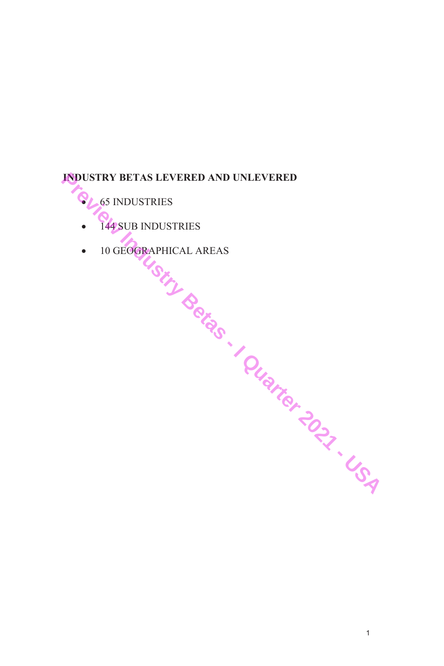# INDUSTRY BETAS LEVERED AND UNLEVERED

- **8** 65 INDUSTRIES
- 144 SUB INDUSTRIES
- RAPHIL BOILES . I QUATEOT 2021 . USA 10 GEOGRAPHICAL AREAS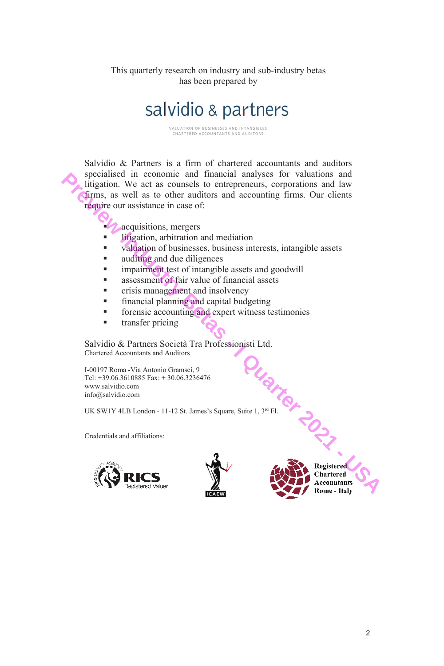This quarterly research on industry and sub-industry betas has been prepared by

# salvidio & partners

VALUATION OF BUSINESSES AND INTANGIBLES<br>CHARTERED ACCOUNTANTS AND AUDITORS

Salvidio & Partners is a firm of chartered accountants and auditors specialised in economic and financial analyses for valuations and litigation. We act as counsels to entrepreneurs, corporations and law firms, as well as to other auditors and accounting firms. Our clients require our assistance in case of:

- **A** acquisitions, mergers
- litigation, arbitration and mediation
- valuation of businesses, business interests, intangible assets
- auditing and due diligences
- impairment test of intangible assets and goodwill
- assessment of fair value of financial assets
- ×. crisis management and insolvency
- financial planning and capital budgeting ä,
- forensic accounting and expert witness testimonies ٠
- transfer pricing

Salvidio & Partners Società Tra Professionisti Ltd. Chartered Accountants and Auditors

I-00197 Roma - Via Antonio Gramsci, 9 Tel: +39.06.3610885 Fax: +30.06.3236476 www.salvidio.com info@salvidio.com

**INCT** UK SW1Y 4LB London - 11-12 St. James's Square, Suite 1, 3rd Fl.

Credentials and affiliations:





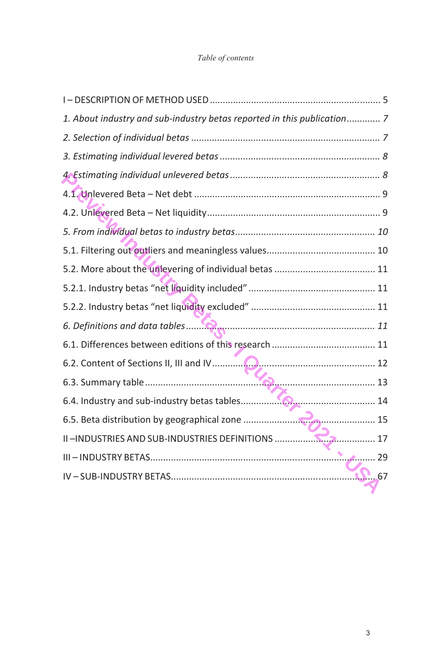#### *Table of contents*

| 1. About industry and sub-industry betas reported in this publication 7 |
|-------------------------------------------------------------------------|
|                                                                         |
|                                                                         |
|                                                                         |
|                                                                         |
|                                                                         |
|                                                                         |
|                                                                         |
|                                                                         |
|                                                                         |
|                                                                         |
|                                                                         |
|                                                                         |
|                                                                         |
|                                                                         |
|                                                                         |
|                                                                         |
|                                                                         |
|                                                                         |
|                                                                         |
|                                                                         |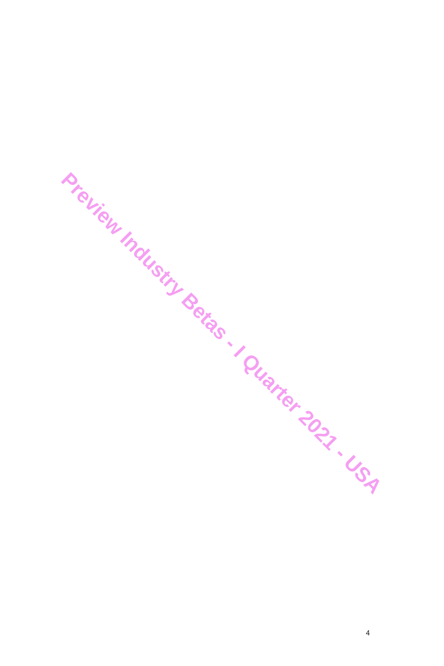Preview Industry Belase - I Quarter 2021 - USA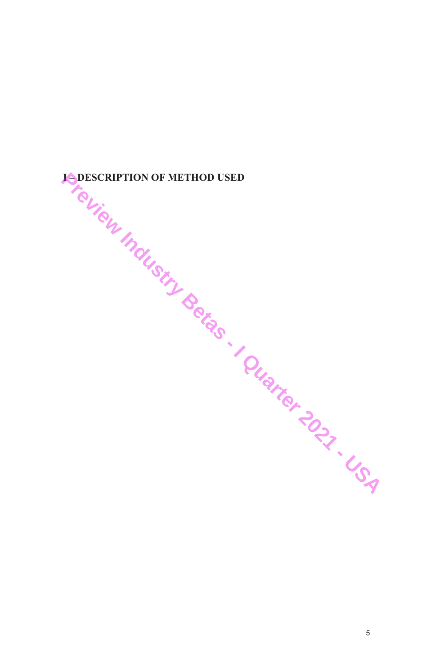spesc.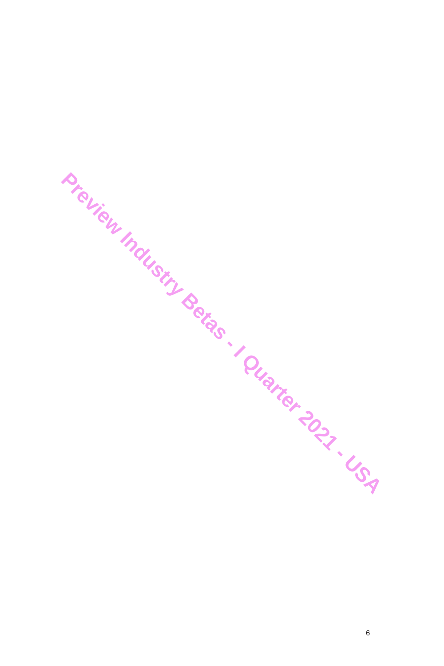Preview Industry Belase - I Quarter 2021 - USA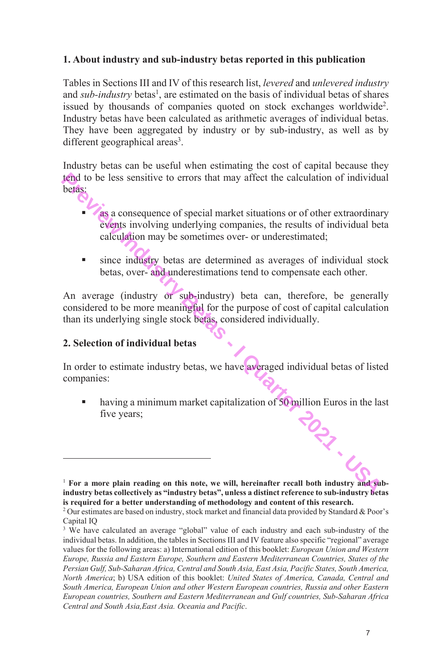### 1. About industry and sub-industry betas reported in this publication

Tables in Sections III and IV of this research list, *levered* and *unlevered industry* and *sub-industry* betas<sup>1</sup>, are estimated on the basis of individual betas of shares issued by thousands of companies quoted on stock exchanges worldwide<sup>2</sup>. Industry betas have been calculated as arithmetic averages of individual betas. They have been aggregated by industry or by sub-industry, as well as by different geographical areas<sup>3</sup>.

Industry betas can be useful when estimating the cost of capital because they tend to be less sensitive to errors that may affect the calculation of individual hetas:

- as a consequence of special market situations or of other extraordinary events involving underlying companies, the results of individual beta calculation may be sometimes over- or underestimated;
- since industry betas are determined as averages of individual stock betas, over- and underestimations tend to compensate each other.

An average (industry or sub-industry) beta can, therefore, be generally considered to be more meaningful for the purpose of cost of capital calculation than its underlying single stock betas, considered individually.

#### 2. Selection of individual betas

In order to estimate industry betas, we have averaged individual betas of listed companies:

having a minimum market capitalization of 50 million Euros in the last 2027.1 five years;

 $\frac{1}{2}$  For a more plain reading on this note, we will, hereinafter recall both industry and subindustry betas collectively as "industry betas", unless a distinct reference to sub-industry betas is required for a better understanding of methodology and content of this research.

<sup>&</sup>lt;sup>2</sup> Our estimates are based on industry, stock market and financial data provided by Standard & Poor's Capital IO

<sup>&</sup>lt;sup>3</sup> We have calculated an average "global" value of each industry and each sub-industry of the individual betas. In addition, the tables in Sections III and IV feature also specific "regional" average values for the following areas: a) International edition of this booklet: European Union and Western Europe, Russia and Eastern Europe, Southern and Eastern Mediterranean Countries, States of the Persian Gulf, Sub-Saharan Africa, Central and South Asia, East Asia, Pacific States, South America, North America; b) USA edition of this booklet: United States of America, Canada, Central and South America, European Union and other Western European countries, Russia and other Eastern European countries, Southern and Eastern Mediterranean and Gulf countries, Sub-Saharan Africa Central and South Asia, East Asia. Oceania and Pacific.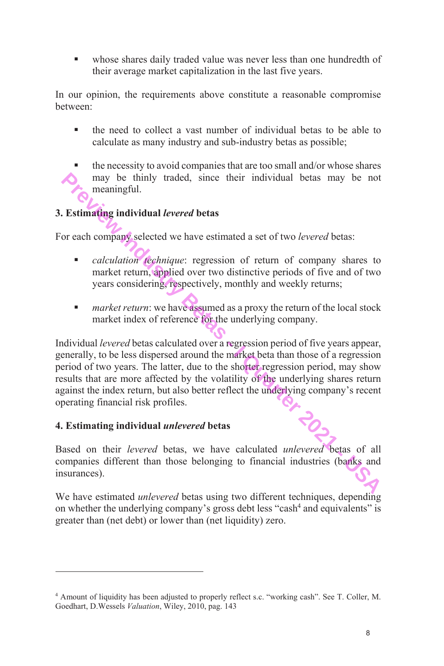**Whose shares daily traded value was never less than one hundredth of** their average market capitalization in the last five years.

In our opinion, the requirements above constitute a reasonable compromise between:

 $\blacksquare$  the need to collect a vast number of individual betas to be able to calculate as many industry and sub-industry betas as possible;

 $\blacksquare$  the necessity to avoid companies that are too small and/or whose shares may be thinly traded, since their individual betas may be not meaningful.

# **3. Estimating individual levered betas**

For each company selected we have estimated a set of two *levered* betas:

- *calculation technique*: regression of return of company shares to market return, applied over two distinctive periods of five and of two years considering, respectively, monthly and weekly returns;
- $\blacksquare$  *market return*: we have assumed as a proxy the return of the local stock market index of reference for the underlying company.

Individual *levered* betas calculated over a regression period of five years appear, generally, to be less dispersed around the market beta than those of a regression period of two years. The latter, due to the shorter regression period, may show results that are more affected by the volatility of the underlying shares return against the index return, but also better reflect the underlying company's recent operating financial risk profiles. may be thinly traded, since their individual betas may be not<br>
meaningful.<br> **Preview Individual levered betas**<br>
or each company selected we have estimated a set of two levered betas:<br> **Preview In the construct of the const** 

# **4. Estimating individual** *unlevered* **betas**

Based on their *levered* betas, we have calculated *unlevered* betas of all companies different than those belonging to financial industries (banks and insurances).

We have estimated *unlevered* betas using two different techniques, depending on whether the underlying company's gross debt less "cash<sup>4</sup> and equivalents" is greater than (net debt) or lower than (net liquidity) zero.

<sup>&</sup>lt;sup>4</sup> Amount of liquidity has been adjusted to properly reflect s.c. "working cash". See T. Coller, M. Goedhart, D.Wessels Valuation, Wiley, 2010, pag. 143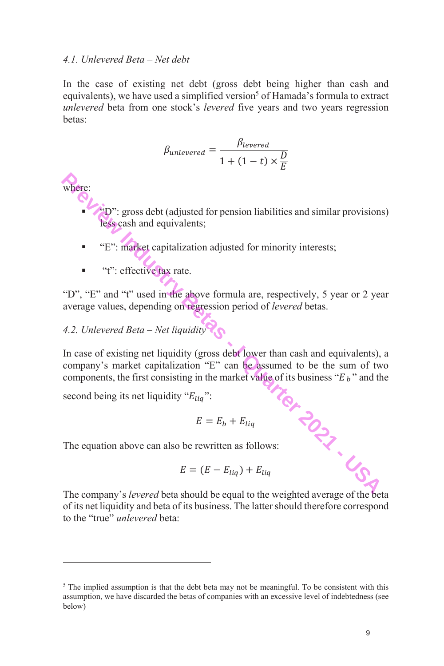#### *4.1. Unlevered Beta – Net debt*

where:

In the case of existing net debt (gross debt being higher than cash and equivalents), we have used a simplified version<sup>5</sup> of Hamada's formula to extract *unlevered* beta from one stock's *levered* five years and two years regression betas:

$$
\beta_{unlevered} = \frac{\beta_{levered}}{1 + (1 - t) \times \frac{D}{E}}
$$

- $\mathbf{F}$ <sup>v</sup> $\mathbf{D}$ ": gross debt (adjusted for pension liabilities and similar provisions) less cash and equivalents;
- "E": market capitalization adjusted for minority interests;
- **E** "t": effective tax rate.

"D", "E" and "t" used in the above formula are, respectively, 5 year or 2 year average values, depending on regression period of *levered* betas.

# *4.2. Unlevered Beta – Net liquidity*

In case of existing net liquidity (gross debt lower than cash and equivalents), a company's market capitalization "E" can be assumed to be the sum of two components, the first consisting in the market value of its business " $E<sub>b</sub>$ " and the

second being its net liquidity " $E_{liq}$ ":

$$
E = E_b + E_{liq}
$$

The equation above can also be rewritten as follows:

$$
E = (E - E_{liq}) + E_{liq}
$$

The company's levered beta should be equal to the weighted average of the beta of its net liquidity and beta of its business. The latter should therefore correspond to the "true" *unlevered* beta: **Previous** 

<sup>&</sup>lt;sup>5</sup> The implied assumption is that the debt beta may not be meaningful. To be consistent with this assumption, we have discarded the betas of companies with an excessive level of indebtedness (see below)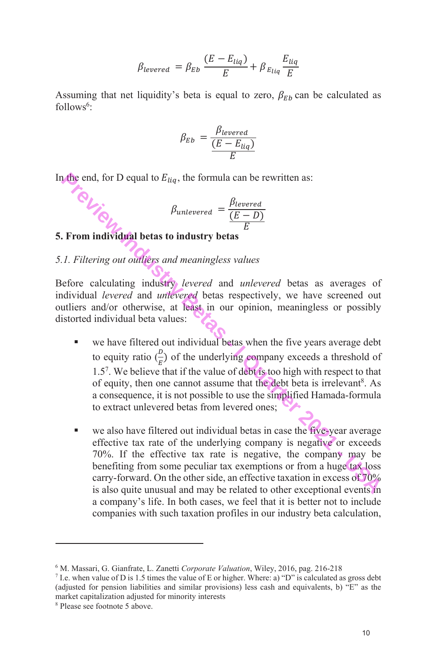$$
\beta_{levered} = \beta_{Eb} \frac{(E - E_{liq})}{E} + \beta_{E_{liq}} \frac{E_{liq}}{E}
$$

Assuming that net liquidity's beta is equal to zero,  $\beta_{Eb}$  can be calculated as  $follows<sup>6</sup>$ :

$$
\beta_{Eb} = \frac{\beta_{levered}}{\frac{(E - E_{liq})}{E}}
$$

In the end, for D equal to  $E_{liq}$ , the formula can be rewritten as:

$$
\beta_{unlevered} = \frac{\beta_{levered}}{\frac{(E - D)}{E}}
$$

#### **5. From individual betas to industry betas**

#### *5.1. Filtering out outliers and meaningless values*

Before calculating industry *levered* and *unlevered* betas as averages of individual *levered* and *unlevered* betas respectively, we have screened out outliers and/or otherwise, at least in our opinion, meaningless or possibly distorted individual beta values:

- we have filtered out individual betas when the five years average debt to equity ratio  $\left(\frac{D}{E}\right)$  of the underlying company exceeds a threshold of 1.5<sup>7</sup>. We believe that if the value of debt is too high with respect to that of equity, then one cannot assume that the debt beta is irrelevant<sup>8</sup>. As a consequence, it is not possible to use the simplified Hamada-formula to extract unlevered betas from levered ones; **Propagation** CF and 10  $E_{Hq}$ , the formula can be rewritten as:<br> **Puntevered** =  $\frac{\beta_{\text{leverted}}}{(E - D)}$ <br> **Puntevered** =  $\frac{\beta_{\text{leverted}}}{E}$ <br> *Puntewered* =  $\frac{\beta_{\text{leverted}}}{E}$ <br> *Puntewered* =  $\frac{\beta_{\text{reverted}}}{E}$ <br> *D. Filtering out o* 
	- ve also have filtered out individual betas in case the five-year average effective tax rate of the underlying company is negative or exceeds 70%. If the effective tax rate is negative, the company may be benefiting from some peculiar tax exemptions or from a huge tax loss carry-forward. On the other side, an effective taxation in excess of  $70\%$ is also quite unusual and may be related to other exceptional events in a company's life. In both cases, we feel that it is better not to include companies with such taxation profiles in our industry beta calculation,

<sup>&</sup>lt;sup>6</sup> M. Massari, G. Gianfrate, L. Zanetti Corporate Valuation, Wiley, 2016, pag. 216-218

<sup>&</sup>lt;sup>7</sup> I.e. when value of D is 1.5 times the value of E or higher. Where: a) "D" is calculated as gross debt (adjusted for pension liabilities and similar provisions) less cash and equivalents, b) " $E$ " as the market capitalization adjusted for minority interests

<sup>&</sup>lt;sup>8</sup> Please see footnote 5 above.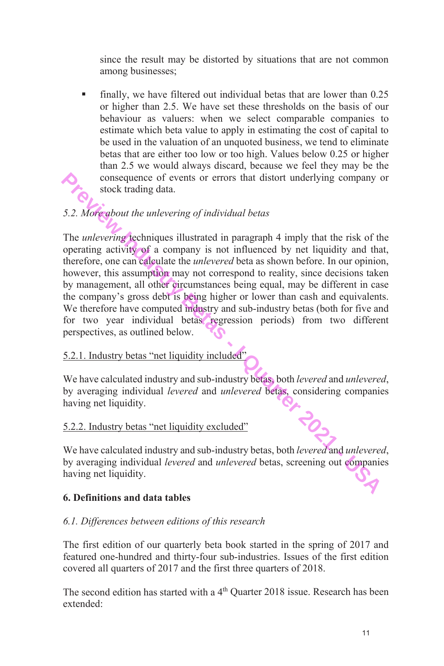since the result may be distorted by situations that are not common among businesses;

 $\blacksquare$  finally, we have filtered out individual betas that are lower than 0.25 or higher than 2.5. We have set these thresholds on the basis of our behaviour as valuers: when we select comparable companies to estimate which beta value to apply in estimating the cost of capital to be used in the valuation of an unquoted business, we tend to eliminate betas that are either too low or too high. Values below 0.25 or higher than 2.5 we would always discard, because we feel they may be the consequence of events or errors that distort underlying company or stock trading data.

# *5.2. More about the unlevering of individual betas*

The *unlevering* techniques illustrated in paragraph 4 imply that the risk of the operating activity of a company is not influenced by net liquidity and that, therefore, one can calculate the *unlevered* beta as shown before. In our opinion, however, this assumption may not correspond to reality, since decisions taken by management, all other circumstances being equal, may be different in case the company's gross debt is being higher or lower than cash and equivalents. We therefore have computed industry and sub-industry betas (both for five and for two year individual betas regression periods) from two different perspectives, as outlined below. consequence of events or errors that distort underlying company c<br>stock trading data.<br>
5.2. More about the unlevering of individual betas<br>
The unlevering dechniques illustrated in paragraph 4 imply that the risk of the<br>
op

# 5.2.1. Industry betas "net liquidity included"

We have calculated industry and sub-industry betas, both *levered* and *unlevered*, by averaging individual *levered* and *unlevered* betas, considering companies having net liquidity.

#### 5.2.2. Industry betas "net liquidity excluded"

We have calculated industry and sub-industry betas, both *levered* and *unlevered*, by averaging individual *levered* and *unlevered* betas, screening out companies having net liquidity.

#### **6. Definitions and data tables**

# *6.1. Differences between editions of this research*

The first edition of our quarterly beta book started in the spring of 2017 and featured one-hundred and thirty-four sub-industries. Issues of the first edition covered all quarters of 2017 and the first three quarters of 2018.

The second edition has started with a 4<sup>th</sup> Quarter 2018 issue. Research has been extended: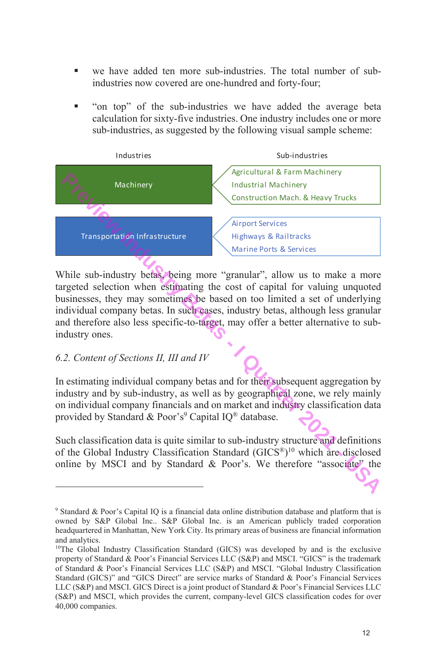- we have added ten more sub-industries. The total number of subindustries now covered are one-hundred and forty-four;
- "on top" of the sub-industries we have added the average beta calculation for sixty-five industries. One industry includes one or more sub-industries, as suggested by the following visual sample scheme:



While sub-industry betas, being more "granular", allow us to make a more targeted selection when estimating the cost of capital for valuing unquoted businesses, they may sometimes be based on too limited a set of underlying individual company betas. In such cases, industry betas, although less granular and therefore also less specific-to-target, may offer a better alternative to subindustry ones.

#### *6.2. Content of Sections II, III and IV*

In estimating individual company betas and for their subsequent aggregation by industry and by sub-industry, as well as by geographical zone, we rely mainly on individual company financials and on market and industry classification data provided by Standard & Poor's<sup>9</sup> Capital IQ® database.

Such classification data is quite similar to sub-industry structure and definitions of the Global Industry Classification Standard (GICS®)<sup>10</sup> which are disclosed online by MSCI and by Standard & Poor's. We therefore "associate" the

 $9$  Standard & Poor's Capital IQ is a financial data online distribution database and platform that is owned by S&P Global Inc.. S&P Global Inc. is an American publicly traded corporation headquartered in Manhattan, New York City. Its primary areas of business are financial information and analytics.

<sup>&</sup>lt;sup>10</sup>The Global Industry Classification Standard (GICS) was developed by and is the exclusive property of Standard & Poor's Financial Services LLC  $(S\&P)$  and MSCI. "GICS" is the trademark of Standard & Poor's Financial Services LLC (S&P) and MSCI. "Global Industry Classification Standard (GICS)" and "GICS Direct" are service marks of Standard & Poor's Financial Services LLC (S&P) and MSCI. GICS Direct is a joint product of Standard & Poor's Financial Services LLC (S&P) and MSCI, which provides the current, company-level GICS classification codes for over 40,000 companies.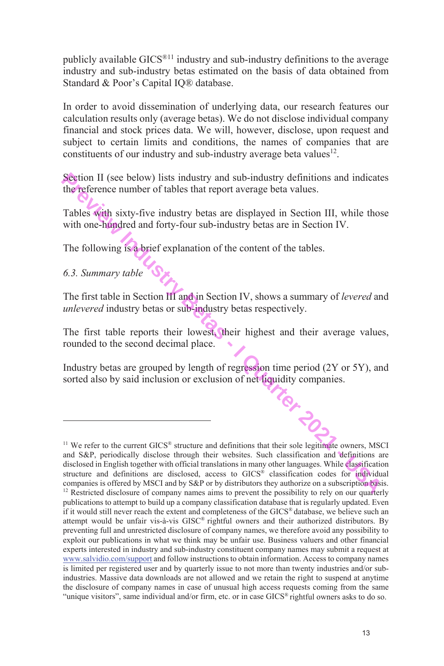publicly available  $GICS^{\otimes 11}$  industry and sub-industry definitions to the average industry and sub-industry betas estimated on the basis of data obtained from Standard & Poor's Capital IQ® database.

In order to avoid dissemination of underlying data, our research features our calculation results only (average betas). We do not disclose individual company financial and stock prices data. We will, however, disclose, upon request and subject to certain limits and conditions, the names of companies that are constituents of our industry and sub-industry average beta values<sup>12</sup>.

Section II (see below) lists industry and sub-industry definitions and indicates the reference number of tables that report average beta values.

Tables with sixty-five industry betas are displayed in Section III, while those with one-hundred and forty-four sub-industry betas are in Section IV.

The following is a brief explanation of the content of the tables.

6.3. Summary table

The first table in Section III and in Section IV, shows a summary of *levered* and *unlevered* industry betas or sub-industry betas respectively.

The first table reports their lowest, their highest and their average values, rounded to the second decimal place.

Industry betas are grouped by length of regression time period (2Y or 5Y), and sorted also by said inclusion or exclusion of net liquidity companies.

ian Do

<sup>&</sup>lt;sup>11</sup> We refer to the current GICS<sup>®</sup> structure and definitions that their sole legitimate owners, MSCI and S&P, periodically disclose through their websites. Such classification and definitions are disclosed in English together with official translations in many other languages. While classification structure and definitions are disclosed, access to GICS® classification codes for individual companies is offered by MSCI and by S&P or by distributors they authorize on a subscription basis.  $12$  Restricted disclosure of company names aims to prevent the possibility to rely on our quarterly publications to attempt to build up a company classification database that is regularly updated. Even if it would still never reach the extent and completeness of the GICS® database, we believe such an attempt would be unfair vis-à-vis GISC® rightful owners and their authorized distributors. By preventing full and unrestricted disclosure of company names, we therefore avoid any possibility to exploit our publications in what we think may be unfair use. Business valuers and other financial experts interested in industry and sub-industry constituent company names may submit a request at www.salvidio.com/support and follow instructions to obtain information. Access to company names is limited per registered user and by quarterly issue to not more than twenty industries and/or subindustries. Massive data downloads are not allowed and we retain the right to suspend at anytime the disclosure of company names in case of unusual high access requests coming from the same "unique visitors", same individual and/or firm, etc. or in case GICS® rightful owners asks to do so.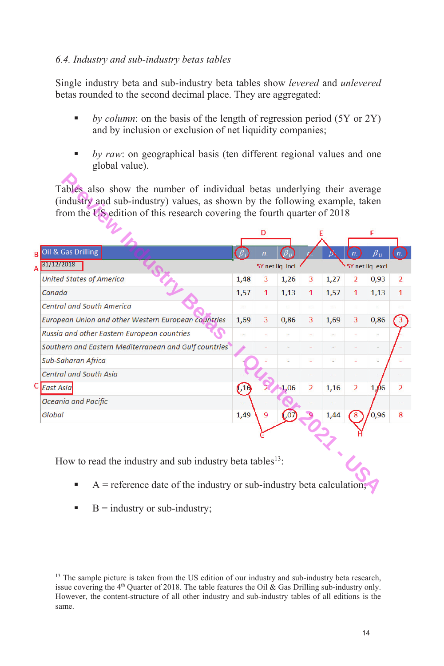#### *6.4. Industry and sub-industry betas tables*

Single industry beta and sub-industry beta tables show *levered* and *unlevered* betas rounded to the second decimal place. They are aggregated:

- *by column*: on the basis of the length of regression period  $(5Y \text{ or } 2Y)$ and by inclusion or exclusion of net liquidity companies;
- *by raw*: on geographical basis (ten different regional values and one global value).

|                                                       |                                       | D  |      |                |      | F              |              |                          |  |
|-------------------------------------------------------|---------------------------------------|----|------|----------------|------|----------------|--------------|--------------------------|--|
| Oil & Gas Drilling                                    |                                       | n. |      |                |      |                | $\beta_{11}$ | (n)                      |  |
| 31/12/2018                                            | 5Y net lig. incl.<br>5Y net lig. excl |    |      |                |      |                |              |                          |  |
| <b>United States of America</b>                       | 1.48                                  | 3  | 1,26 | 3              | 1,27 | $\overline{2}$ | 0.93         | $\overline{2}$           |  |
| Canada                                                | 1,57                                  | 1  | 1,13 | $\mathbf{1}$   | 1,57 | $\mathbf{1}$   | 1,13         | $\mathbf{1}$             |  |
| <b>Central and South America</b>                      |                                       | ÷  |      | ÷,             |      |                |              |                          |  |
| European Union and other Western European countries   | 1,69                                  | 3  | 0.86 | 3              | 1,69 | $\overline{3}$ | 0,86         |                          |  |
| Russia and other Eastern European countries           | ۰                                     |    |      |                |      |                |              |                          |  |
| Southern and Eastern Mediterranean and Gulf countries |                                       |    |      |                |      |                |              |                          |  |
| <b>Sub-Saharan Africa</b>                             |                                       |    |      |                |      |                |              |                          |  |
| <b>Central and South Asia</b>                         |                                       |    |      |                |      |                |              |                          |  |
| $C$ <i>East Asia</i>                                  |                                       |    | 1.06 | $\overline{2}$ | 1,16 | $\overline{2}$ | 1,06         | $\overline{\phantom{a}}$ |  |
| <b>Oceania and Pacific</b>                            |                                       |    |      |                |      |                |              |                          |  |
| Global                                                | 1,49                                  | 9  | .07  |                | 1.44 |                | 0,96         | 8                        |  |
|                                                       |                                       |    |      |                |      |                |              |                          |  |

- $A =$  reference date of the industry or sub-industry beta calculation;
- $\blacksquare$  B = industry or sub-industry;

<sup>&</sup>lt;sup>13</sup> The sample picture is taken from the US edition of our industry and sub-industry beta research, issue covering the  $4<sup>th</sup>$  Quarter of 2018. The table features the Oil & Gas Drilling sub-industry only. However, the content-structure of all other industry and sub-industry tables of all editions is the same.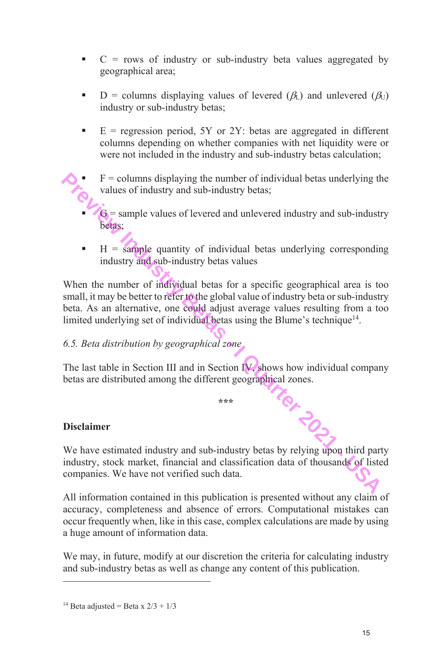- $C = rows$  of industry or sub-industry beta values aggregated by ×. geographical area;
- ×, D = columns displaying values of levered  $(\beta_L)$  and unlevered  $(\beta_U)$ industry or sub-industry betas;
- ×.  $E$  = regression period, 5Y or 2Y: betas are aggregated in different columns depending on whether companies with net liquidity were or were not included in the industry and sub-industry betas calculation;
	- $F =$  columns displaying the number of individual betas underlying the values of industry and sub-industry betas;
- $G$  = sample values of levered and unlevered industry and sub-industry betas:
- $H =$  sample quantity of individual betas underlying corresponding industry and sub-industry betas values

When the number of individual betas for a specific geographical area is too small, it may be better to refer to the global value of industry beta or sub-industry beta. As an alternative, one could adjust average values resulting from a too limited underlying set of individual betas using the Blume's technique<sup>14</sup>.

# 6.5. Beta distribution by geographical zone.

The last table in Section III and in Section IV, shows how individual company betas are distributed among the different geographical zones.

\*\*\*

iar 20-

#### **Disclaimer**

We have estimated industry and sub-industry betas by relying upon third party industry, stock market, financial and classification data of thousands of listed companies. We have not verified such data.

All information contained in this publication is presented without any claim of accuracy, completeness and absence of errors. Computational mistakes can occur frequently when, like in this case, complex calculations are made by using a huge amount of information data.

We may, in future, modify at our discretion the criteria for calculating industry and sub-industry betas as well as change any content of this publication.

<sup>&</sup>lt;sup>14</sup> Beta adjusted = Beta x  $2/3 + 1/3$